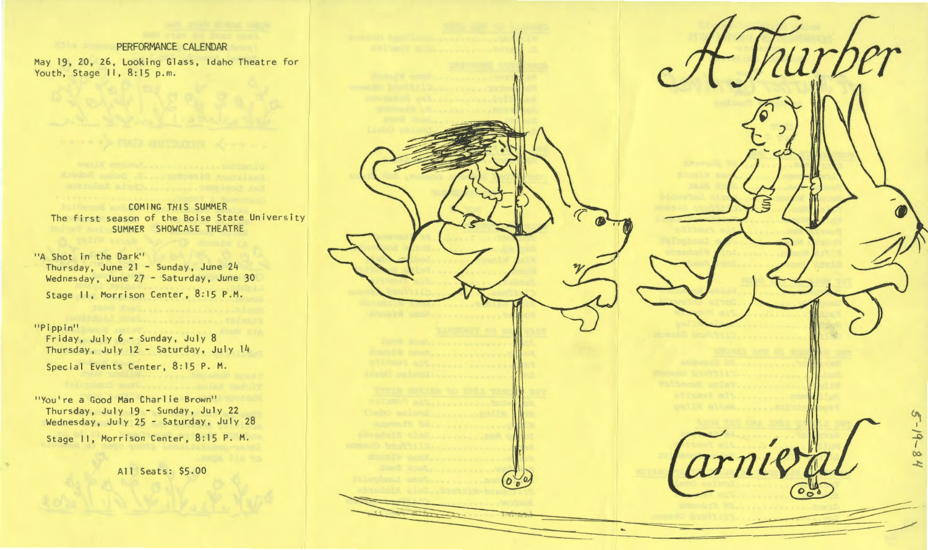# PERFORMANCE CALENDAR

May 19, 20, 26, Looking Glass, Idaho Theatre for Youth, Stage II, 8:15 p.m.

## **COMING THIS SUMMER** The first season of the Boise State University SUMMER SHOWCASE THEATRE

## 11A Shot in the Dark''

 Thursday, June 21 - Sunday, June 24 Wednesday, June 27 - Saturday, June 30 Stage II, Morrison Center, 8:15 P.M.

## "Pippin"

Friday, July 6- Sunday, July 8 Thursday, July 12 - Saturday, July 14 Special Events Center, 8:15 P. M.

"You're a Good Man Charlie Brown" Thursday, July 19 - Sunday, July 22 Wednesday, July 25 - Saturday, July 28 Stage II, Morrison Center, 8:15 P. M.

All Seats: \$5.00

 $\mathbf{H}$ r I - $\rightarrow$ I arnie  $\infty$  $\mathcal{L}$